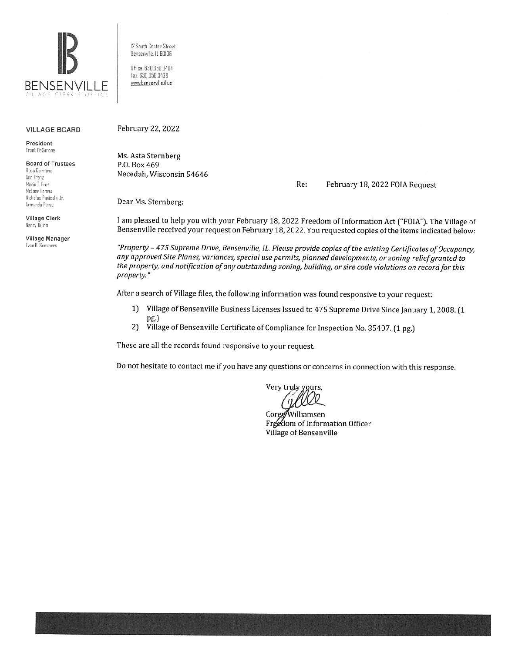

12 South Center Street Bensenville, IL 60106 Office: 630.350.3404 Fax: 630.350.3438 www.bensenville.il.us

#### **VILLAGE BOARD**

President Frank DeSimone

**Board of Trustees** Rosa Carmona Ann Franz Marie T Frey McLane Lomax Nicholas Panicola Jr. Armando Perez

**Village Clerk** Nancy Ruinn

**Village Manager** Evan K. Summers

February 22, 2022

Ms. Asta Sternberg P.O. Box 469 Necedah, Wisconsin 54646

Re: February 18, 2022 FOIA Request

Dear Ms. Sternberg:

I am pleased to help you with your February 18, 2022 Freedom of Information Act ("FOIA"). The Village of Bensenville received your request on February 18, 2022. You requested copies of the items indicated below:

"Property - 475 Supreme Drive, Bensenville, IL. Please provide copies of the existing Certificates of Occupancy, any approved Site Planes, variances, special use permits, planned developments, or zoning relief granted to the property, and notification of any outstanding zoning, building, or sire code violations on record for this property."

After a search of Village files, the following information was found responsive to your request:

- 1) Village of Bensenville Business Licenses Issued to 475 Supreme Drive Since January 1, 2008. (1 pg.)
- $2)$ Village of Bensenville Certificate of Compliance for Inspection No. 85407. (1 pg.)

These are all the records found responsive to your request.

Do not hesitate to contact me if you have any questions or concerns in connection with this response.

Very truly yours,

Corex/Williamsen Freedom of Information Officer Village of Bensenville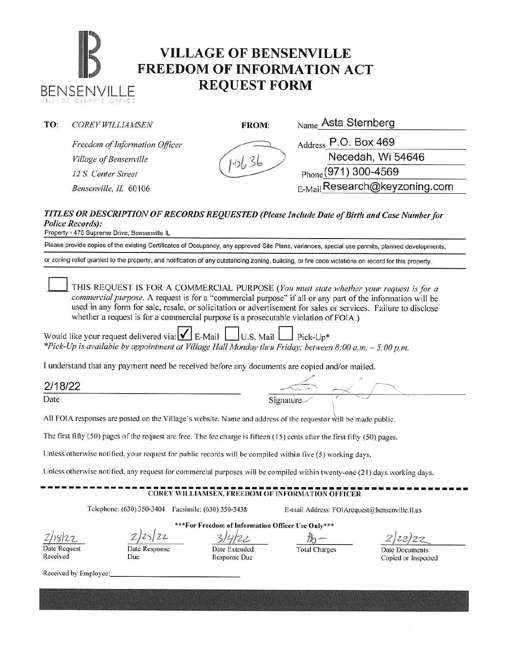### **IB THE VILLAGE OF BENSENVILLE FREEDOM OF INFORMATION A BENSENVILLE <b>REQUEST FORM FREEDOM OF INFORMATION ACT REQUEST FORM**

| TO: | <b>COREY WILLIAMSEN</b>        | FROM: | Name Asta Sternberg                                    |  |
|-----|--------------------------------|-------|--------------------------------------------------------|--|
|     | Freedom of Information Officer |       | $_{\rm Address}$ P.O. Box 469                          |  |
|     | Village of Bensenville         |       | Necedah, Wi 54646<br>$_{\text{Phone}}(971)$ 300-4569   |  |
|     | 12 S. Center Street            |       |                                                        |  |
|     | Bensenville, IL 60106          |       | $_{\rm E\text{-}\mathrm{Mail}}$ Research@keyzoning.com |  |
|     |                                |       |                                                        |  |

#### *TITLES OR DESCRIPTION OF RECORDS REQUESTED (Please Include Date of Birth* **mu/** *Case Number for Police Records):*

Property - 475 Supreme Drive, Bensenville IL

Please provide copies of the existing Certificates of Occupancy, any approved Site Plans, variances, special use permits, planned developments,

or zoning relief granted to the property, and notification of any outstanding zoning, building, or fire code violations on record for this property.

THIS REQUEST IS FOR A COMMERCIAL PURPOSE *(You must state whether your request is for a commercial purpose.* A request is for a "commercial purpose" if all or any part of the information will be used in any form for sale, resale, or solicitation or advertisement for sales or services. Failure to disclose whether a request is for a commercial purpose is a prosecutable violation of FOIA.)

Would like your request delivered via:  $\Box$  E-Mail  $\Box$  U.S. Mail  $\Box$  Pick-Up\* *\*Pick-Up is available by appointment at Village Hall Monday thru Friday; between 8:00 a.m.* - *5:00 p.m.* 

I understand that any payment need be received before any documents are copied and/or mailed.

| 2/18/22 |                                           |  |  |
|---------|-------------------------------------------|--|--|
| Date    | Contractor and the first of<br>Signature. |  |  |

All FOIA responses are posted on the Village's website. Name and address of the requestor will be made public.

The first fifty (50) pages of the request are free. The fee charge is fifteen (15) cents after the first fifty (50) pages.

Unless otherwise notified, your request for public records will be compiled within live (5) working days.

Unless otherwise notified, any request for commercial purposes will be compiled within twenty-one (21) days working days.

## ------------------------------------------------------------- **COREY WILLIAMSEN, FREEDOM OF INFORMATION OFFICER**

Telephone: (630) 350-3404 Facsimile: (630) 350-3438 E-mail Address: F01Arequest@bensenvillc.il.us

*zh~i2-7-* Date Request

 $25/22$ \*\*\*For Freedom of Information Officer Use Only\*\*\*

Date Response

3/4/22  $\text{g}_{-}$ 

Total Charges Date Documents Copied or Inspected

Received Received by Employee:

Due

Date Extended Response Due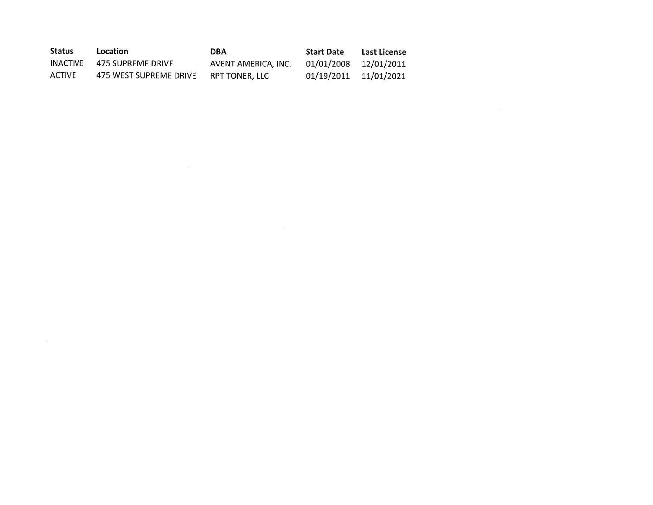| <b>Status</b> | Location               | <b>DBA</b>          | <b>Start Date</b>     | Last License |
|---------------|------------------------|---------------------|-----------------------|--------------|
| INACTIVE      | 475 SUPREME DRIVE      | AVENT AMERICA, INC. | 01/01/2008 12/01/2011 |              |
| <b>ACTIVE</b> | 475 WEST SUPREME DRIVE | RPT TONER. LLC      | 01/19/2011            | 11/01/2021   |

 $\Delta \mathcal{N}$  . The contract of the contract of the contract of the contract of the contract of the contract of the contract of the contract of the contract of the contract of the contract of the contract of the contract of